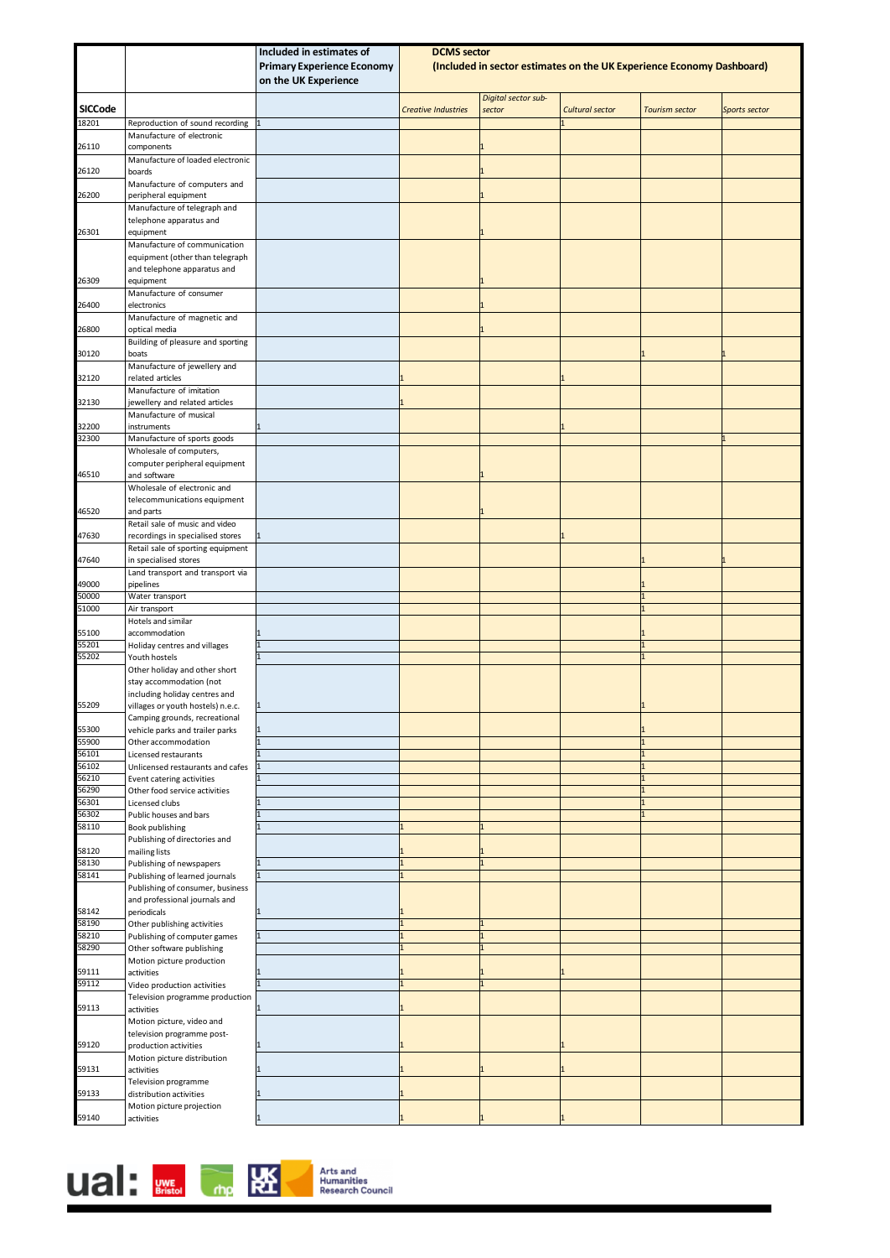|                |                                                                       | Included in estimates of                                  | <b>DCMS</b> sector                                                    |                               |                        |                       |               |
|----------------|-----------------------------------------------------------------------|-----------------------------------------------------------|-----------------------------------------------------------------------|-------------------------------|------------------------|-----------------------|---------------|
|                |                                                                       | <b>Primary Experience Economy</b><br>on the UK Experience | (Included in sector estimates on the UK Experience Economy Dashboard) |                               |                        |                       |               |
| <b>SICCode</b> |                                                                       |                                                           | <b>Creative Industries</b>                                            | Digital sector sub-<br>sector | <b>Cultural sector</b> | <b>Tourism sector</b> | Sports sector |
| 18201          | Reproduction of sound recording                                       |                                                           |                                                                       |                               |                        |                       |               |
|                | Manufacture of electronic                                             |                                                           |                                                                       |                               |                        |                       |               |
| 26110          | components<br>Manufacture of loaded electronic                        |                                                           |                                                                       |                               |                        |                       |               |
| 26120          | boards                                                                |                                                           |                                                                       | 1                             |                        |                       |               |
|                | Manufacture of computers and                                          |                                                           |                                                                       |                               |                        |                       |               |
| 26200          | peripheral equipment<br>Manufacture of telegraph and                  |                                                           |                                                                       |                               |                        |                       |               |
|                | telephone apparatus and                                               |                                                           |                                                                       |                               |                        |                       |               |
| 26301          | equipment<br>Manufacture of communication                             |                                                           |                                                                       |                               |                        |                       |               |
|                | equipment (other than telegraph                                       |                                                           |                                                                       |                               |                        |                       |               |
|                | and telephone apparatus and                                           |                                                           |                                                                       |                               |                        |                       |               |
| 26309          | equipment<br>Manufacture of consumer                                  |                                                           |                                                                       |                               |                        |                       |               |
| 26400          | electronics                                                           |                                                           |                                                                       |                               |                        |                       |               |
| 26800          | Manufacture of magnetic and<br>optical media                          |                                                           |                                                                       |                               |                        |                       |               |
|                | Building of pleasure and sporting                                     |                                                           |                                                                       |                               |                        |                       |               |
| 30120          | boats                                                                 |                                                           |                                                                       |                               |                        |                       |               |
| 32120          | Manufacture of jewellery and<br>related articles                      |                                                           |                                                                       |                               |                        |                       |               |
|                | Manufacture of imitation                                              |                                                           |                                                                       |                               |                        |                       |               |
| 32130          | jewellery and related articles<br>Manufacture of musical              |                                                           |                                                                       |                               |                        |                       |               |
| 32200          | instruments                                                           |                                                           |                                                                       |                               |                        |                       |               |
| 32300          | Manufacture of sports goods                                           |                                                           |                                                                       |                               |                        |                       |               |
|                | Wholesale of computers,<br>computer peripheral equipment              |                                                           |                                                                       |                               |                        |                       |               |
| 46510          | and software                                                          |                                                           |                                                                       |                               |                        |                       |               |
|                | Wholesale of electronic and<br>telecommunications equipment           |                                                           |                                                                       |                               |                        |                       |               |
| 46520          | and parts                                                             |                                                           |                                                                       |                               |                        |                       |               |
|                | Retail sale of music and video                                        |                                                           |                                                                       |                               |                        |                       |               |
| 47630          | recordings in specialised stores<br>Retail sale of sporting equipment |                                                           |                                                                       |                               |                        |                       |               |
| 47640          | in specialised stores                                                 |                                                           |                                                                       |                               |                        |                       |               |
|                | Land transport and transport via                                      |                                                           |                                                                       |                               |                        |                       |               |
| 49000<br>50000 | pipelines<br>Water transport                                          |                                                           |                                                                       |                               |                        |                       |               |
| 51000          | Air transport                                                         |                                                           |                                                                       |                               |                        |                       |               |
| 55100          | Hotels and similar<br>accommodation                                   |                                                           |                                                                       |                               |                        |                       |               |
| 55201          | Holiday centres and villages                                          |                                                           |                                                                       |                               |                        |                       |               |
| 55202          | Youth hostels<br>Other holiday and other short                        |                                                           |                                                                       |                               |                        |                       |               |
|                | stay accommodation (not                                               |                                                           |                                                                       |                               |                        |                       |               |
|                | including holiday centres and                                         |                                                           |                                                                       |                               |                        |                       |               |
| 55209          | villages or youth hostels) n.e.c.<br>Camping grounds, recreational    |                                                           |                                                                       |                               |                        |                       |               |
| 55300          | vehicle parks and trailer parks                                       |                                                           |                                                                       |                               |                        |                       |               |
| 55900<br>56101 | Other accommodation<br>Licensed restaurants                           |                                                           |                                                                       |                               |                        | 1                     |               |
| 56102          | Unlicensed restaurants and cafes                                      |                                                           |                                                                       |                               |                        |                       |               |
| 56210          | Event catering activities                                             |                                                           |                                                                       |                               |                        |                       |               |
| 56290<br>56301 | Other food service activities<br>Licensed clubs                       |                                                           |                                                                       |                               |                        |                       |               |
| 56302          | Public houses and bars                                                |                                                           |                                                                       |                               |                        |                       |               |
| 58110          | Book publishing<br>Publishing of directories and                      |                                                           |                                                                       |                               |                        |                       |               |
| 58120          | mailing lists                                                         |                                                           |                                                                       |                               |                        |                       |               |
| 58130          | Publishing of newspapers                                              |                                                           |                                                                       | $\mathbf{1}$                  |                        |                       |               |
| 58141          | Publishing of learned journals<br>Publishing of consumer, business    |                                                           |                                                                       |                               |                        |                       |               |
|                | and professional journals and                                         |                                                           |                                                                       |                               |                        |                       |               |
| 58142<br>58190 | periodicals<br>Other publishing activities                            |                                                           |                                                                       | $\mathbf{1}$                  |                        |                       |               |
| 58210          | Publishing of computer games                                          |                                                           |                                                                       | $\mathbf{1}$                  |                        |                       |               |
| 58290          | Other software publishing                                             |                                                           |                                                                       | $\overline{1}$                |                        |                       |               |
| 59111          | Motion picture production<br>activities                               |                                                           |                                                                       |                               |                        |                       |               |
| 59112          | Video production activities                                           |                                                           |                                                                       | $\overline{1}$                |                        |                       |               |
| 59113          | Television programme production<br>activities                         |                                                           |                                                                       |                               |                        |                       |               |
|                | Motion picture, video and                                             |                                                           |                                                                       |                               |                        |                       |               |
|                | television programme post-                                            |                                                           |                                                                       |                               |                        |                       |               |
| 59120          | production activities<br>Motion picture distribution                  |                                                           |                                                                       |                               |                        |                       |               |
| 59131          | activities                                                            |                                                           |                                                                       |                               |                        |                       |               |
| 59133          | Television programme<br>distribution activities                       |                                                           |                                                                       |                               |                        |                       |               |
|                | Motion picture projection                                             |                                                           |                                                                       |                               |                        |                       |               |
| 59140          | activities                                                            |                                                           |                                                                       |                               |                        |                       |               |

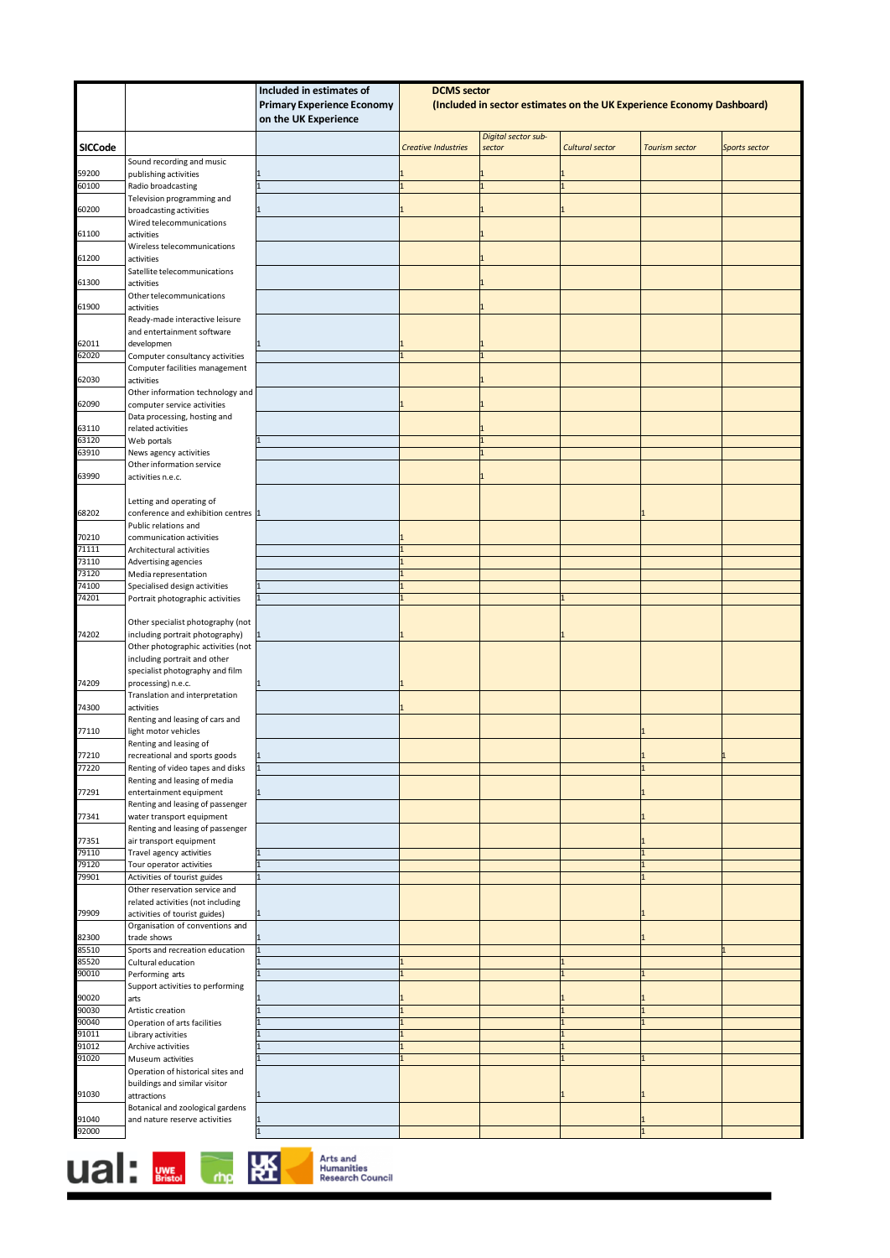| <b>Primary Experience Economy</b><br>(Included in sector estimates on the UK Experience Economy Dashboard)<br>on the UK Experience<br>Digital sector sub-<br><b>SICCode</b><br><b>Creative Industries</b><br><b>Cultural sector</b><br><b>Tourism sector</b><br>sector<br>Sports sector<br>Sound recording and music<br>59200<br>publishing activities<br>60100<br>Radio broadcasting<br>Television programming and<br>60200<br>broadcasting activities<br>Wired telecommunications<br>51100<br>activities<br>Wireless telecommunications<br>61200<br>activities<br>Satellite telecommunications<br>61300<br>activities<br>Other telecommunications<br>61900<br>activities<br>Ready-made interactive leisure<br>and entertainment software<br>62011<br>developmen<br>52020<br>Computer consultancy activities<br>$\mathbf{1}$<br>Computer facilities management<br>62030<br>activities<br>Other information technology and<br>52090<br>computer service activities<br>Data processing, hosting and<br>63110<br>related activities<br>63120<br>Web portals<br>$\mathbf{1}$<br>63910<br>News agency activities<br>1<br>Other information service<br>53990<br>activities n.e.c.<br>Letting and operating of<br>68202<br>conference and exhibition centres 1<br>Public relations and<br>70210<br>communication activities<br>71111<br>Architectural activities<br>73110<br>Advertising agencies<br>73120<br>Media representation<br>74100<br>Specialised design activities<br>74201<br>Portrait photographic activities<br>Other specialist photography (not<br>74202<br>including portrait photography)<br>Other photographic activities (not<br>including portrait and other<br>specialist photography and film<br>74209<br>processing) n.e.c.<br>Translation and interpretation<br>74300<br>activities<br>Renting and leasing of cars and<br>light motor vehicles<br>77110<br>Renting and leasing of<br>77210<br>recreational and sports goods<br>1<br>77220<br>Renting of video tapes and disks<br>$\mathbf{1}$<br>Renting and leasing of media<br>77291<br>entertainment equipment<br>Renting and leasing of passenger<br>77341<br>water transport equipment<br>Renting and leasing of passenger<br>77351<br>air transport equipment<br>79110<br>Travel agency activities<br>79120<br>Tour operator activities<br>$\mathbf{1}$<br>79901<br>Activities of tourist guides<br>$\mathbf{1}$<br>Other reservation service and<br>related activities (not including<br>79909<br>activities of tourist guides)<br>Organisation of conventions and<br>82300<br>trade shows<br>85510<br>Sports and recreation education<br>85520<br>Cultural education<br>90010<br>Performing arts<br>Support activities to performing<br>90020<br>arts<br>90030<br>Artistic creation<br>90040<br>Operation of arts facilities<br>91011<br>Library activities<br>91012<br>Archive activities<br>91020<br>Museum activities<br>Operation of historical sites and<br>buildings and similar visitor<br>91030<br>attractions<br>Botanical and zoological gardens<br>91040<br>and nature reserve activities<br>92000 |  | Included in estimates of | <b>DCMS</b> sector |  |  |  |  |
|-----------------------------------------------------------------------------------------------------------------------------------------------------------------------------------------------------------------------------------------------------------------------------------------------------------------------------------------------------------------------------------------------------------------------------------------------------------------------------------------------------------------------------------------------------------------------------------------------------------------------------------------------------------------------------------------------------------------------------------------------------------------------------------------------------------------------------------------------------------------------------------------------------------------------------------------------------------------------------------------------------------------------------------------------------------------------------------------------------------------------------------------------------------------------------------------------------------------------------------------------------------------------------------------------------------------------------------------------------------------------------------------------------------------------------------------------------------------------------------------------------------------------------------------------------------------------------------------------------------------------------------------------------------------------------------------------------------------------------------------------------------------------------------------------------------------------------------------------------------------------------------------------------------------------------------------------------------------------------------------------------------------------------------------------------------------------------------------------------------------------------------------------------------------------------------------------------------------------------------------------------------------------------------------------------------------------------------------------------------------------------------------------------------------------------------------------------------------------------------------------------------------------------------------------------------------------------------------------------------------------------------------------------------------------------------------------------------------------------------------------------------------------------------------------------------------------------------------------------------------------------------------------------------------------------------------------------------------------------------------------------------------------------------------------------------------------------------------|--|--------------------------|--------------------|--|--|--|--|
|                                                                                                                                                                                                                                                                                                                                                                                                                                                                                                                                                                                                                                                                                                                                                                                                                                                                                                                                                                                                                                                                                                                                                                                                                                                                                                                                                                                                                                                                                                                                                                                                                                                                                                                                                                                                                                                                                                                                                                                                                                                                                                                                                                                                                                                                                                                                                                                                                                                                                                                                                                                                                                                                                                                                                                                                                                                                                                                                                                                                                                                                                         |  |                          |                    |  |  |  |  |
|                                                                                                                                                                                                                                                                                                                                                                                                                                                                                                                                                                                                                                                                                                                                                                                                                                                                                                                                                                                                                                                                                                                                                                                                                                                                                                                                                                                                                                                                                                                                                                                                                                                                                                                                                                                                                                                                                                                                                                                                                                                                                                                                                                                                                                                                                                                                                                                                                                                                                                                                                                                                                                                                                                                                                                                                                                                                                                                                                                                                                                                                                         |  |                          |                    |  |  |  |  |
|                                                                                                                                                                                                                                                                                                                                                                                                                                                                                                                                                                                                                                                                                                                                                                                                                                                                                                                                                                                                                                                                                                                                                                                                                                                                                                                                                                                                                                                                                                                                                                                                                                                                                                                                                                                                                                                                                                                                                                                                                                                                                                                                                                                                                                                                                                                                                                                                                                                                                                                                                                                                                                                                                                                                                                                                                                                                                                                                                                                                                                                                                         |  |                          |                    |  |  |  |  |
|                                                                                                                                                                                                                                                                                                                                                                                                                                                                                                                                                                                                                                                                                                                                                                                                                                                                                                                                                                                                                                                                                                                                                                                                                                                                                                                                                                                                                                                                                                                                                                                                                                                                                                                                                                                                                                                                                                                                                                                                                                                                                                                                                                                                                                                                                                                                                                                                                                                                                                                                                                                                                                                                                                                                                                                                                                                                                                                                                                                                                                                                                         |  |                          |                    |  |  |  |  |
|                                                                                                                                                                                                                                                                                                                                                                                                                                                                                                                                                                                                                                                                                                                                                                                                                                                                                                                                                                                                                                                                                                                                                                                                                                                                                                                                                                                                                                                                                                                                                                                                                                                                                                                                                                                                                                                                                                                                                                                                                                                                                                                                                                                                                                                                                                                                                                                                                                                                                                                                                                                                                                                                                                                                                                                                                                                                                                                                                                                                                                                                                         |  |                          |                    |  |  |  |  |
|                                                                                                                                                                                                                                                                                                                                                                                                                                                                                                                                                                                                                                                                                                                                                                                                                                                                                                                                                                                                                                                                                                                                                                                                                                                                                                                                                                                                                                                                                                                                                                                                                                                                                                                                                                                                                                                                                                                                                                                                                                                                                                                                                                                                                                                                                                                                                                                                                                                                                                                                                                                                                                                                                                                                                                                                                                                                                                                                                                                                                                                                                         |  |                          |                    |  |  |  |  |
|                                                                                                                                                                                                                                                                                                                                                                                                                                                                                                                                                                                                                                                                                                                                                                                                                                                                                                                                                                                                                                                                                                                                                                                                                                                                                                                                                                                                                                                                                                                                                                                                                                                                                                                                                                                                                                                                                                                                                                                                                                                                                                                                                                                                                                                                                                                                                                                                                                                                                                                                                                                                                                                                                                                                                                                                                                                                                                                                                                                                                                                                                         |  |                          |                    |  |  |  |  |
|                                                                                                                                                                                                                                                                                                                                                                                                                                                                                                                                                                                                                                                                                                                                                                                                                                                                                                                                                                                                                                                                                                                                                                                                                                                                                                                                                                                                                                                                                                                                                                                                                                                                                                                                                                                                                                                                                                                                                                                                                                                                                                                                                                                                                                                                                                                                                                                                                                                                                                                                                                                                                                                                                                                                                                                                                                                                                                                                                                                                                                                                                         |  |                          |                    |  |  |  |  |
|                                                                                                                                                                                                                                                                                                                                                                                                                                                                                                                                                                                                                                                                                                                                                                                                                                                                                                                                                                                                                                                                                                                                                                                                                                                                                                                                                                                                                                                                                                                                                                                                                                                                                                                                                                                                                                                                                                                                                                                                                                                                                                                                                                                                                                                                                                                                                                                                                                                                                                                                                                                                                                                                                                                                                                                                                                                                                                                                                                                                                                                                                         |  |                          |                    |  |  |  |  |
|                                                                                                                                                                                                                                                                                                                                                                                                                                                                                                                                                                                                                                                                                                                                                                                                                                                                                                                                                                                                                                                                                                                                                                                                                                                                                                                                                                                                                                                                                                                                                                                                                                                                                                                                                                                                                                                                                                                                                                                                                                                                                                                                                                                                                                                                                                                                                                                                                                                                                                                                                                                                                                                                                                                                                                                                                                                                                                                                                                                                                                                                                         |  |                          |                    |  |  |  |  |
|                                                                                                                                                                                                                                                                                                                                                                                                                                                                                                                                                                                                                                                                                                                                                                                                                                                                                                                                                                                                                                                                                                                                                                                                                                                                                                                                                                                                                                                                                                                                                                                                                                                                                                                                                                                                                                                                                                                                                                                                                                                                                                                                                                                                                                                                                                                                                                                                                                                                                                                                                                                                                                                                                                                                                                                                                                                                                                                                                                                                                                                                                         |  |                          |                    |  |  |  |  |
|                                                                                                                                                                                                                                                                                                                                                                                                                                                                                                                                                                                                                                                                                                                                                                                                                                                                                                                                                                                                                                                                                                                                                                                                                                                                                                                                                                                                                                                                                                                                                                                                                                                                                                                                                                                                                                                                                                                                                                                                                                                                                                                                                                                                                                                                                                                                                                                                                                                                                                                                                                                                                                                                                                                                                                                                                                                                                                                                                                                                                                                                                         |  |                          |                    |  |  |  |  |
|                                                                                                                                                                                                                                                                                                                                                                                                                                                                                                                                                                                                                                                                                                                                                                                                                                                                                                                                                                                                                                                                                                                                                                                                                                                                                                                                                                                                                                                                                                                                                                                                                                                                                                                                                                                                                                                                                                                                                                                                                                                                                                                                                                                                                                                                                                                                                                                                                                                                                                                                                                                                                                                                                                                                                                                                                                                                                                                                                                                                                                                                                         |  |                          |                    |  |  |  |  |
|                                                                                                                                                                                                                                                                                                                                                                                                                                                                                                                                                                                                                                                                                                                                                                                                                                                                                                                                                                                                                                                                                                                                                                                                                                                                                                                                                                                                                                                                                                                                                                                                                                                                                                                                                                                                                                                                                                                                                                                                                                                                                                                                                                                                                                                                                                                                                                                                                                                                                                                                                                                                                                                                                                                                                                                                                                                                                                                                                                                                                                                                                         |  |                          |                    |  |  |  |  |
|                                                                                                                                                                                                                                                                                                                                                                                                                                                                                                                                                                                                                                                                                                                                                                                                                                                                                                                                                                                                                                                                                                                                                                                                                                                                                                                                                                                                                                                                                                                                                                                                                                                                                                                                                                                                                                                                                                                                                                                                                                                                                                                                                                                                                                                                                                                                                                                                                                                                                                                                                                                                                                                                                                                                                                                                                                                                                                                                                                                                                                                                                         |  |                          |                    |  |  |  |  |
|                                                                                                                                                                                                                                                                                                                                                                                                                                                                                                                                                                                                                                                                                                                                                                                                                                                                                                                                                                                                                                                                                                                                                                                                                                                                                                                                                                                                                                                                                                                                                                                                                                                                                                                                                                                                                                                                                                                                                                                                                                                                                                                                                                                                                                                                                                                                                                                                                                                                                                                                                                                                                                                                                                                                                                                                                                                                                                                                                                                                                                                                                         |  |                          |                    |  |  |  |  |
|                                                                                                                                                                                                                                                                                                                                                                                                                                                                                                                                                                                                                                                                                                                                                                                                                                                                                                                                                                                                                                                                                                                                                                                                                                                                                                                                                                                                                                                                                                                                                                                                                                                                                                                                                                                                                                                                                                                                                                                                                                                                                                                                                                                                                                                                                                                                                                                                                                                                                                                                                                                                                                                                                                                                                                                                                                                                                                                                                                                                                                                                                         |  |                          |                    |  |  |  |  |
|                                                                                                                                                                                                                                                                                                                                                                                                                                                                                                                                                                                                                                                                                                                                                                                                                                                                                                                                                                                                                                                                                                                                                                                                                                                                                                                                                                                                                                                                                                                                                                                                                                                                                                                                                                                                                                                                                                                                                                                                                                                                                                                                                                                                                                                                                                                                                                                                                                                                                                                                                                                                                                                                                                                                                                                                                                                                                                                                                                                                                                                                                         |  |                          |                    |  |  |  |  |
|                                                                                                                                                                                                                                                                                                                                                                                                                                                                                                                                                                                                                                                                                                                                                                                                                                                                                                                                                                                                                                                                                                                                                                                                                                                                                                                                                                                                                                                                                                                                                                                                                                                                                                                                                                                                                                                                                                                                                                                                                                                                                                                                                                                                                                                                                                                                                                                                                                                                                                                                                                                                                                                                                                                                                                                                                                                                                                                                                                                                                                                                                         |  |                          |                    |  |  |  |  |
|                                                                                                                                                                                                                                                                                                                                                                                                                                                                                                                                                                                                                                                                                                                                                                                                                                                                                                                                                                                                                                                                                                                                                                                                                                                                                                                                                                                                                                                                                                                                                                                                                                                                                                                                                                                                                                                                                                                                                                                                                                                                                                                                                                                                                                                                                                                                                                                                                                                                                                                                                                                                                                                                                                                                                                                                                                                                                                                                                                                                                                                                                         |  |                          |                    |  |  |  |  |
|                                                                                                                                                                                                                                                                                                                                                                                                                                                                                                                                                                                                                                                                                                                                                                                                                                                                                                                                                                                                                                                                                                                                                                                                                                                                                                                                                                                                                                                                                                                                                                                                                                                                                                                                                                                                                                                                                                                                                                                                                                                                                                                                                                                                                                                                                                                                                                                                                                                                                                                                                                                                                                                                                                                                                                                                                                                                                                                                                                                                                                                                                         |  |                          |                    |  |  |  |  |
|                                                                                                                                                                                                                                                                                                                                                                                                                                                                                                                                                                                                                                                                                                                                                                                                                                                                                                                                                                                                                                                                                                                                                                                                                                                                                                                                                                                                                                                                                                                                                                                                                                                                                                                                                                                                                                                                                                                                                                                                                                                                                                                                                                                                                                                                                                                                                                                                                                                                                                                                                                                                                                                                                                                                                                                                                                                                                                                                                                                                                                                                                         |  |                          |                    |  |  |  |  |
|                                                                                                                                                                                                                                                                                                                                                                                                                                                                                                                                                                                                                                                                                                                                                                                                                                                                                                                                                                                                                                                                                                                                                                                                                                                                                                                                                                                                                                                                                                                                                                                                                                                                                                                                                                                                                                                                                                                                                                                                                                                                                                                                                                                                                                                                                                                                                                                                                                                                                                                                                                                                                                                                                                                                                                                                                                                                                                                                                                                                                                                                                         |  |                          |                    |  |  |  |  |
|                                                                                                                                                                                                                                                                                                                                                                                                                                                                                                                                                                                                                                                                                                                                                                                                                                                                                                                                                                                                                                                                                                                                                                                                                                                                                                                                                                                                                                                                                                                                                                                                                                                                                                                                                                                                                                                                                                                                                                                                                                                                                                                                                                                                                                                                                                                                                                                                                                                                                                                                                                                                                                                                                                                                                                                                                                                                                                                                                                                                                                                                                         |  |                          |                    |  |  |  |  |
|                                                                                                                                                                                                                                                                                                                                                                                                                                                                                                                                                                                                                                                                                                                                                                                                                                                                                                                                                                                                                                                                                                                                                                                                                                                                                                                                                                                                                                                                                                                                                                                                                                                                                                                                                                                                                                                                                                                                                                                                                                                                                                                                                                                                                                                                                                                                                                                                                                                                                                                                                                                                                                                                                                                                                                                                                                                                                                                                                                                                                                                                                         |  |                          |                    |  |  |  |  |
|                                                                                                                                                                                                                                                                                                                                                                                                                                                                                                                                                                                                                                                                                                                                                                                                                                                                                                                                                                                                                                                                                                                                                                                                                                                                                                                                                                                                                                                                                                                                                                                                                                                                                                                                                                                                                                                                                                                                                                                                                                                                                                                                                                                                                                                                                                                                                                                                                                                                                                                                                                                                                                                                                                                                                                                                                                                                                                                                                                                                                                                                                         |  |                          |                    |  |  |  |  |
|                                                                                                                                                                                                                                                                                                                                                                                                                                                                                                                                                                                                                                                                                                                                                                                                                                                                                                                                                                                                                                                                                                                                                                                                                                                                                                                                                                                                                                                                                                                                                                                                                                                                                                                                                                                                                                                                                                                                                                                                                                                                                                                                                                                                                                                                                                                                                                                                                                                                                                                                                                                                                                                                                                                                                                                                                                                                                                                                                                                                                                                                                         |  |                          |                    |  |  |  |  |
|                                                                                                                                                                                                                                                                                                                                                                                                                                                                                                                                                                                                                                                                                                                                                                                                                                                                                                                                                                                                                                                                                                                                                                                                                                                                                                                                                                                                                                                                                                                                                                                                                                                                                                                                                                                                                                                                                                                                                                                                                                                                                                                                                                                                                                                                                                                                                                                                                                                                                                                                                                                                                                                                                                                                                                                                                                                                                                                                                                                                                                                                                         |  |                          |                    |  |  |  |  |
|                                                                                                                                                                                                                                                                                                                                                                                                                                                                                                                                                                                                                                                                                                                                                                                                                                                                                                                                                                                                                                                                                                                                                                                                                                                                                                                                                                                                                                                                                                                                                                                                                                                                                                                                                                                                                                                                                                                                                                                                                                                                                                                                                                                                                                                                                                                                                                                                                                                                                                                                                                                                                                                                                                                                                                                                                                                                                                                                                                                                                                                                                         |  |                          |                    |  |  |  |  |
|                                                                                                                                                                                                                                                                                                                                                                                                                                                                                                                                                                                                                                                                                                                                                                                                                                                                                                                                                                                                                                                                                                                                                                                                                                                                                                                                                                                                                                                                                                                                                                                                                                                                                                                                                                                                                                                                                                                                                                                                                                                                                                                                                                                                                                                                                                                                                                                                                                                                                                                                                                                                                                                                                                                                                                                                                                                                                                                                                                                                                                                                                         |  |                          |                    |  |  |  |  |
|                                                                                                                                                                                                                                                                                                                                                                                                                                                                                                                                                                                                                                                                                                                                                                                                                                                                                                                                                                                                                                                                                                                                                                                                                                                                                                                                                                                                                                                                                                                                                                                                                                                                                                                                                                                                                                                                                                                                                                                                                                                                                                                                                                                                                                                                                                                                                                                                                                                                                                                                                                                                                                                                                                                                                                                                                                                                                                                                                                                                                                                                                         |  |                          |                    |  |  |  |  |
|                                                                                                                                                                                                                                                                                                                                                                                                                                                                                                                                                                                                                                                                                                                                                                                                                                                                                                                                                                                                                                                                                                                                                                                                                                                                                                                                                                                                                                                                                                                                                                                                                                                                                                                                                                                                                                                                                                                                                                                                                                                                                                                                                                                                                                                                                                                                                                                                                                                                                                                                                                                                                                                                                                                                                                                                                                                                                                                                                                                                                                                                                         |  |                          |                    |  |  |  |  |
|                                                                                                                                                                                                                                                                                                                                                                                                                                                                                                                                                                                                                                                                                                                                                                                                                                                                                                                                                                                                                                                                                                                                                                                                                                                                                                                                                                                                                                                                                                                                                                                                                                                                                                                                                                                                                                                                                                                                                                                                                                                                                                                                                                                                                                                                                                                                                                                                                                                                                                                                                                                                                                                                                                                                                                                                                                                                                                                                                                                                                                                                                         |  |                          |                    |  |  |  |  |
|                                                                                                                                                                                                                                                                                                                                                                                                                                                                                                                                                                                                                                                                                                                                                                                                                                                                                                                                                                                                                                                                                                                                                                                                                                                                                                                                                                                                                                                                                                                                                                                                                                                                                                                                                                                                                                                                                                                                                                                                                                                                                                                                                                                                                                                                                                                                                                                                                                                                                                                                                                                                                                                                                                                                                                                                                                                                                                                                                                                                                                                                                         |  |                          |                    |  |  |  |  |
|                                                                                                                                                                                                                                                                                                                                                                                                                                                                                                                                                                                                                                                                                                                                                                                                                                                                                                                                                                                                                                                                                                                                                                                                                                                                                                                                                                                                                                                                                                                                                                                                                                                                                                                                                                                                                                                                                                                                                                                                                                                                                                                                                                                                                                                                                                                                                                                                                                                                                                                                                                                                                                                                                                                                                                                                                                                                                                                                                                                                                                                                                         |  |                          |                    |  |  |  |  |
|                                                                                                                                                                                                                                                                                                                                                                                                                                                                                                                                                                                                                                                                                                                                                                                                                                                                                                                                                                                                                                                                                                                                                                                                                                                                                                                                                                                                                                                                                                                                                                                                                                                                                                                                                                                                                                                                                                                                                                                                                                                                                                                                                                                                                                                                                                                                                                                                                                                                                                                                                                                                                                                                                                                                                                                                                                                                                                                                                                                                                                                                                         |  |                          |                    |  |  |  |  |
|                                                                                                                                                                                                                                                                                                                                                                                                                                                                                                                                                                                                                                                                                                                                                                                                                                                                                                                                                                                                                                                                                                                                                                                                                                                                                                                                                                                                                                                                                                                                                                                                                                                                                                                                                                                                                                                                                                                                                                                                                                                                                                                                                                                                                                                                                                                                                                                                                                                                                                                                                                                                                                                                                                                                                                                                                                                                                                                                                                                                                                                                                         |  |                          |                    |  |  |  |  |
|                                                                                                                                                                                                                                                                                                                                                                                                                                                                                                                                                                                                                                                                                                                                                                                                                                                                                                                                                                                                                                                                                                                                                                                                                                                                                                                                                                                                                                                                                                                                                                                                                                                                                                                                                                                                                                                                                                                                                                                                                                                                                                                                                                                                                                                                                                                                                                                                                                                                                                                                                                                                                                                                                                                                                                                                                                                                                                                                                                                                                                                                                         |  |                          |                    |  |  |  |  |
|                                                                                                                                                                                                                                                                                                                                                                                                                                                                                                                                                                                                                                                                                                                                                                                                                                                                                                                                                                                                                                                                                                                                                                                                                                                                                                                                                                                                                                                                                                                                                                                                                                                                                                                                                                                                                                                                                                                                                                                                                                                                                                                                                                                                                                                                                                                                                                                                                                                                                                                                                                                                                                                                                                                                                                                                                                                                                                                                                                                                                                                                                         |  |                          |                    |  |  |  |  |
|                                                                                                                                                                                                                                                                                                                                                                                                                                                                                                                                                                                                                                                                                                                                                                                                                                                                                                                                                                                                                                                                                                                                                                                                                                                                                                                                                                                                                                                                                                                                                                                                                                                                                                                                                                                                                                                                                                                                                                                                                                                                                                                                                                                                                                                                                                                                                                                                                                                                                                                                                                                                                                                                                                                                                                                                                                                                                                                                                                                                                                                                                         |  |                          |                    |  |  |  |  |
|                                                                                                                                                                                                                                                                                                                                                                                                                                                                                                                                                                                                                                                                                                                                                                                                                                                                                                                                                                                                                                                                                                                                                                                                                                                                                                                                                                                                                                                                                                                                                                                                                                                                                                                                                                                                                                                                                                                                                                                                                                                                                                                                                                                                                                                                                                                                                                                                                                                                                                                                                                                                                                                                                                                                                                                                                                                                                                                                                                                                                                                                                         |  |                          |                    |  |  |  |  |
|                                                                                                                                                                                                                                                                                                                                                                                                                                                                                                                                                                                                                                                                                                                                                                                                                                                                                                                                                                                                                                                                                                                                                                                                                                                                                                                                                                                                                                                                                                                                                                                                                                                                                                                                                                                                                                                                                                                                                                                                                                                                                                                                                                                                                                                                                                                                                                                                                                                                                                                                                                                                                                                                                                                                                                                                                                                                                                                                                                                                                                                                                         |  |                          |                    |  |  |  |  |
|                                                                                                                                                                                                                                                                                                                                                                                                                                                                                                                                                                                                                                                                                                                                                                                                                                                                                                                                                                                                                                                                                                                                                                                                                                                                                                                                                                                                                                                                                                                                                                                                                                                                                                                                                                                                                                                                                                                                                                                                                                                                                                                                                                                                                                                                                                                                                                                                                                                                                                                                                                                                                                                                                                                                                                                                                                                                                                                                                                                                                                                                                         |  |                          |                    |  |  |  |  |
|                                                                                                                                                                                                                                                                                                                                                                                                                                                                                                                                                                                                                                                                                                                                                                                                                                                                                                                                                                                                                                                                                                                                                                                                                                                                                                                                                                                                                                                                                                                                                                                                                                                                                                                                                                                                                                                                                                                                                                                                                                                                                                                                                                                                                                                                                                                                                                                                                                                                                                                                                                                                                                                                                                                                                                                                                                                                                                                                                                                                                                                                                         |  |                          |                    |  |  |  |  |
|                                                                                                                                                                                                                                                                                                                                                                                                                                                                                                                                                                                                                                                                                                                                                                                                                                                                                                                                                                                                                                                                                                                                                                                                                                                                                                                                                                                                                                                                                                                                                                                                                                                                                                                                                                                                                                                                                                                                                                                                                                                                                                                                                                                                                                                                                                                                                                                                                                                                                                                                                                                                                                                                                                                                                                                                                                                                                                                                                                                                                                                                                         |  |                          |                    |  |  |  |  |
|                                                                                                                                                                                                                                                                                                                                                                                                                                                                                                                                                                                                                                                                                                                                                                                                                                                                                                                                                                                                                                                                                                                                                                                                                                                                                                                                                                                                                                                                                                                                                                                                                                                                                                                                                                                                                                                                                                                                                                                                                                                                                                                                                                                                                                                                                                                                                                                                                                                                                                                                                                                                                                                                                                                                                                                                                                                                                                                                                                                                                                                                                         |  |                          |                    |  |  |  |  |
|                                                                                                                                                                                                                                                                                                                                                                                                                                                                                                                                                                                                                                                                                                                                                                                                                                                                                                                                                                                                                                                                                                                                                                                                                                                                                                                                                                                                                                                                                                                                                                                                                                                                                                                                                                                                                                                                                                                                                                                                                                                                                                                                                                                                                                                                                                                                                                                                                                                                                                                                                                                                                                                                                                                                                                                                                                                                                                                                                                                                                                                                                         |  |                          |                    |  |  |  |  |
|                                                                                                                                                                                                                                                                                                                                                                                                                                                                                                                                                                                                                                                                                                                                                                                                                                                                                                                                                                                                                                                                                                                                                                                                                                                                                                                                                                                                                                                                                                                                                                                                                                                                                                                                                                                                                                                                                                                                                                                                                                                                                                                                                                                                                                                                                                                                                                                                                                                                                                                                                                                                                                                                                                                                                                                                                                                                                                                                                                                                                                                                                         |  |                          |                    |  |  |  |  |
|                                                                                                                                                                                                                                                                                                                                                                                                                                                                                                                                                                                                                                                                                                                                                                                                                                                                                                                                                                                                                                                                                                                                                                                                                                                                                                                                                                                                                                                                                                                                                                                                                                                                                                                                                                                                                                                                                                                                                                                                                                                                                                                                                                                                                                                                                                                                                                                                                                                                                                                                                                                                                                                                                                                                                                                                                                                                                                                                                                                                                                                                                         |  |                          |                    |  |  |  |  |
|                                                                                                                                                                                                                                                                                                                                                                                                                                                                                                                                                                                                                                                                                                                                                                                                                                                                                                                                                                                                                                                                                                                                                                                                                                                                                                                                                                                                                                                                                                                                                                                                                                                                                                                                                                                                                                                                                                                                                                                                                                                                                                                                                                                                                                                                                                                                                                                                                                                                                                                                                                                                                                                                                                                                                                                                                                                                                                                                                                                                                                                                                         |  |                          |                    |  |  |  |  |
|                                                                                                                                                                                                                                                                                                                                                                                                                                                                                                                                                                                                                                                                                                                                                                                                                                                                                                                                                                                                                                                                                                                                                                                                                                                                                                                                                                                                                                                                                                                                                                                                                                                                                                                                                                                                                                                                                                                                                                                                                                                                                                                                                                                                                                                                                                                                                                                                                                                                                                                                                                                                                                                                                                                                                                                                                                                                                                                                                                                                                                                                                         |  |                          |                    |  |  |  |  |
|                                                                                                                                                                                                                                                                                                                                                                                                                                                                                                                                                                                                                                                                                                                                                                                                                                                                                                                                                                                                                                                                                                                                                                                                                                                                                                                                                                                                                                                                                                                                                                                                                                                                                                                                                                                                                                                                                                                                                                                                                                                                                                                                                                                                                                                                                                                                                                                                                                                                                                                                                                                                                                                                                                                                                                                                                                                                                                                                                                                                                                                                                         |  |                          |                    |  |  |  |  |
|                                                                                                                                                                                                                                                                                                                                                                                                                                                                                                                                                                                                                                                                                                                                                                                                                                                                                                                                                                                                                                                                                                                                                                                                                                                                                                                                                                                                                                                                                                                                                                                                                                                                                                                                                                                                                                                                                                                                                                                                                                                                                                                                                                                                                                                                                                                                                                                                                                                                                                                                                                                                                                                                                                                                                                                                                                                                                                                                                                                                                                                                                         |  |                          |                    |  |  |  |  |
|                                                                                                                                                                                                                                                                                                                                                                                                                                                                                                                                                                                                                                                                                                                                                                                                                                                                                                                                                                                                                                                                                                                                                                                                                                                                                                                                                                                                                                                                                                                                                                                                                                                                                                                                                                                                                                                                                                                                                                                                                                                                                                                                                                                                                                                                                                                                                                                                                                                                                                                                                                                                                                                                                                                                                                                                                                                                                                                                                                                                                                                                                         |  |                          |                    |  |  |  |  |
|                                                                                                                                                                                                                                                                                                                                                                                                                                                                                                                                                                                                                                                                                                                                                                                                                                                                                                                                                                                                                                                                                                                                                                                                                                                                                                                                                                                                                                                                                                                                                                                                                                                                                                                                                                                                                                                                                                                                                                                                                                                                                                                                                                                                                                                                                                                                                                                                                                                                                                                                                                                                                                                                                                                                                                                                                                                                                                                                                                                                                                                                                         |  |                          |                    |  |  |  |  |
|                                                                                                                                                                                                                                                                                                                                                                                                                                                                                                                                                                                                                                                                                                                                                                                                                                                                                                                                                                                                                                                                                                                                                                                                                                                                                                                                                                                                                                                                                                                                                                                                                                                                                                                                                                                                                                                                                                                                                                                                                                                                                                                                                                                                                                                                                                                                                                                                                                                                                                                                                                                                                                                                                                                                                                                                                                                                                                                                                                                                                                                                                         |  |                          |                    |  |  |  |  |
|                                                                                                                                                                                                                                                                                                                                                                                                                                                                                                                                                                                                                                                                                                                                                                                                                                                                                                                                                                                                                                                                                                                                                                                                                                                                                                                                                                                                                                                                                                                                                                                                                                                                                                                                                                                                                                                                                                                                                                                                                                                                                                                                                                                                                                                                                                                                                                                                                                                                                                                                                                                                                                                                                                                                                                                                                                                                                                                                                                                                                                                                                         |  |                          |                    |  |  |  |  |
|                                                                                                                                                                                                                                                                                                                                                                                                                                                                                                                                                                                                                                                                                                                                                                                                                                                                                                                                                                                                                                                                                                                                                                                                                                                                                                                                                                                                                                                                                                                                                                                                                                                                                                                                                                                                                                                                                                                                                                                                                                                                                                                                                                                                                                                                                                                                                                                                                                                                                                                                                                                                                                                                                                                                                                                                                                                                                                                                                                                                                                                                                         |  |                          |                    |  |  |  |  |
|                                                                                                                                                                                                                                                                                                                                                                                                                                                                                                                                                                                                                                                                                                                                                                                                                                                                                                                                                                                                                                                                                                                                                                                                                                                                                                                                                                                                                                                                                                                                                                                                                                                                                                                                                                                                                                                                                                                                                                                                                                                                                                                                                                                                                                                                                                                                                                                                                                                                                                                                                                                                                                                                                                                                                                                                                                                                                                                                                                                                                                                                                         |  |                          |                    |  |  |  |  |
|                                                                                                                                                                                                                                                                                                                                                                                                                                                                                                                                                                                                                                                                                                                                                                                                                                                                                                                                                                                                                                                                                                                                                                                                                                                                                                                                                                                                                                                                                                                                                                                                                                                                                                                                                                                                                                                                                                                                                                                                                                                                                                                                                                                                                                                                                                                                                                                                                                                                                                                                                                                                                                                                                                                                                                                                                                                                                                                                                                                                                                                                                         |  |                          |                    |  |  |  |  |
|                                                                                                                                                                                                                                                                                                                                                                                                                                                                                                                                                                                                                                                                                                                                                                                                                                                                                                                                                                                                                                                                                                                                                                                                                                                                                                                                                                                                                                                                                                                                                                                                                                                                                                                                                                                                                                                                                                                                                                                                                                                                                                                                                                                                                                                                                                                                                                                                                                                                                                                                                                                                                                                                                                                                                                                                                                                                                                                                                                                                                                                                                         |  |                          |                    |  |  |  |  |
|                                                                                                                                                                                                                                                                                                                                                                                                                                                                                                                                                                                                                                                                                                                                                                                                                                                                                                                                                                                                                                                                                                                                                                                                                                                                                                                                                                                                                                                                                                                                                                                                                                                                                                                                                                                                                                                                                                                                                                                                                                                                                                                                                                                                                                                                                                                                                                                                                                                                                                                                                                                                                                                                                                                                                                                                                                                                                                                                                                                                                                                                                         |  |                          |                    |  |  |  |  |
|                                                                                                                                                                                                                                                                                                                                                                                                                                                                                                                                                                                                                                                                                                                                                                                                                                                                                                                                                                                                                                                                                                                                                                                                                                                                                                                                                                                                                                                                                                                                                                                                                                                                                                                                                                                                                                                                                                                                                                                                                                                                                                                                                                                                                                                                                                                                                                                                                                                                                                                                                                                                                                                                                                                                                                                                                                                                                                                                                                                                                                                                                         |  |                          |                    |  |  |  |  |
|                                                                                                                                                                                                                                                                                                                                                                                                                                                                                                                                                                                                                                                                                                                                                                                                                                                                                                                                                                                                                                                                                                                                                                                                                                                                                                                                                                                                                                                                                                                                                                                                                                                                                                                                                                                                                                                                                                                                                                                                                                                                                                                                                                                                                                                                                                                                                                                                                                                                                                                                                                                                                                                                                                                                                                                                                                                                                                                                                                                                                                                                                         |  |                          |                    |  |  |  |  |
|                                                                                                                                                                                                                                                                                                                                                                                                                                                                                                                                                                                                                                                                                                                                                                                                                                                                                                                                                                                                                                                                                                                                                                                                                                                                                                                                                                                                                                                                                                                                                                                                                                                                                                                                                                                                                                                                                                                                                                                                                                                                                                                                                                                                                                                                                                                                                                                                                                                                                                                                                                                                                                                                                                                                                                                                                                                                                                                                                                                                                                                                                         |  |                          |                    |  |  |  |  |
|                                                                                                                                                                                                                                                                                                                                                                                                                                                                                                                                                                                                                                                                                                                                                                                                                                                                                                                                                                                                                                                                                                                                                                                                                                                                                                                                                                                                                                                                                                                                                                                                                                                                                                                                                                                                                                                                                                                                                                                                                                                                                                                                                                                                                                                                                                                                                                                                                                                                                                                                                                                                                                                                                                                                                                                                                                                                                                                                                                                                                                                                                         |  |                          |                    |  |  |  |  |
|                                                                                                                                                                                                                                                                                                                                                                                                                                                                                                                                                                                                                                                                                                                                                                                                                                                                                                                                                                                                                                                                                                                                                                                                                                                                                                                                                                                                                                                                                                                                                                                                                                                                                                                                                                                                                                                                                                                                                                                                                                                                                                                                                                                                                                                                                                                                                                                                                                                                                                                                                                                                                                                                                                                                                                                                                                                                                                                                                                                                                                                                                         |  |                          |                    |  |  |  |  |
|                                                                                                                                                                                                                                                                                                                                                                                                                                                                                                                                                                                                                                                                                                                                                                                                                                                                                                                                                                                                                                                                                                                                                                                                                                                                                                                                                                                                                                                                                                                                                                                                                                                                                                                                                                                                                                                                                                                                                                                                                                                                                                                                                                                                                                                                                                                                                                                                                                                                                                                                                                                                                                                                                                                                                                                                                                                                                                                                                                                                                                                                                         |  |                          |                    |  |  |  |  |
|                                                                                                                                                                                                                                                                                                                                                                                                                                                                                                                                                                                                                                                                                                                                                                                                                                                                                                                                                                                                                                                                                                                                                                                                                                                                                                                                                                                                                                                                                                                                                                                                                                                                                                                                                                                                                                                                                                                                                                                                                                                                                                                                                                                                                                                                                                                                                                                                                                                                                                                                                                                                                                                                                                                                                                                                                                                                                                                                                                                                                                                                                         |  |                          |                    |  |  |  |  |
|                                                                                                                                                                                                                                                                                                                                                                                                                                                                                                                                                                                                                                                                                                                                                                                                                                                                                                                                                                                                                                                                                                                                                                                                                                                                                                                                                                                                                                                                                                                                                                                                                                                                                                                                                                                                                                                                                                                                                                                                                                                                                                                                                                                                                                                                                                                                                                                                                                                                                                                                                                                                                                                                                                                                                                                                                                                                                                                                                                                                                                                                                         |  |                          |                    |  |  |  |  |
|                                                                                                                                                                                                                                                                                                                                                                                                                                                                                                                                                                                                                                                                                                                                                                                                                                                                                                                                                                                                                                                                                                                                                                                                                                                                                                                                                                                                                                                                                                                                                                                                                                                                                                                                                                                                                                                                                                                                                                                                                                                                                                                                                                                                                                                                                                                                                                                                                                                                                                                                                                                                                                                                                                                                                                                                                                                                                                                                                                                                                                                                                         |  |                          |                    |  |  |  |  |
|                                                                                                                                                                                                                                                                                                                                                                                                                                                                                                                                                                                                                                                                                                                                                                                                                                                                                                                                                                                                                                                                                                                                                                                                                                                                                                                                                                                                                                                                                                                                                                                                                                                                                                                                                                                                                                                                                                                                                                                                                                                                                                                                                                                                                                                                                                                                                                                                                                                                                                                                                                                                                                                                                                                                                                                                                                                                                                                                                                                                                                                                                         |  |                          |                    |  |  |  |  |
|                                                                                                                                                                                                                                                                                                                                                                                                                                                                                                                                                                                                                                                                                                                                                                                                                                                                                                                                                                                                                                                                                                                                                                                                                                                                                                                                                                                                                                                                                                                                                                                                                                                                                                                                                                                                                                                                                                                                                                                                                                                                                                                                                                                                                                                                                                                                                                                                                                                                                                                                                                                                                                                                                                                                                                                                                                                                                                                                                                                                                                                                                         |  |                          |                    |  |  |  |  |
|                                                                                                                                                                                                                                                                                                                                                                                                                                                                                                                                                                                                                                                                                                                                                                                                                                                                                                                                                                                                                                                                                                                                                                                                                                                                                                                                                                                                                                                                                                                                                                                                                                                                                                                                                                                                                                                                                                                                                                                                                                                                                                                                                                                                                                                                                                                                                                                                                                                                                                                                                                                                                                                                                                                                                                                                                                                                                                                                                                                                                                                                                         |  |                          |                    |  |  |  |  |
|                                                                                                                                                                                                                                                                                                                                                                                                                                                                                                                                                                                                                                                                                                                                                                                                                                                                                                                                                                                                                                                                                                                                                                                                                                                                                                                                                                                                                                                                                                                                                                                                                                                                                                                                                                                                                                                                                                                                                                                                                                                                                                                                                                                                                                                                                                                                                                                                                                                                                                                                                                                                                                                                                                                                                                                                                                                                                                                                                                                                                                                                                         |  |                          |                    |  |  |  |  |
|                                                                                                                                                                                                                                                                                                                                                                                                                                                                                                                                                                                                                                                                                                                                                                                                                                                                                                                                                                                                                                                                                                                                                                                                                                                                                                                                                                                                                                                                                                                                                                                                                                                                                                                                                                                                                                                                                                                                                                                                                                                                                                                                                                                                                                                                                                                                                                                                                                                                                                                                                                                                                                                                                                                                                                                                                                                                                                                                                                                                                                                                                         |  |                          |                    |  |  |  |  |
|                                                                                                                                                                                                                                                                                                                                                                                                                                                                                                                                                                                                                                                                                                                                                                                                                                                                                                                                                                                                                                                                                                                                                                                                                                                                                                                                                                                                                                                                                                                                                                                                                                                                                                                                                                                                                                                                                                                                                                                                                                                                                                                                                                                                                                                                                                                                                                                                                                                                                                                                                                                                                                                                                                                                                                                                                                                                                                                                                                                                                                                                                         |  |                          |                    |  |  |  |  |
|                                                                                                                                                                                                                                                                                                                                                                                                                                                                                                                                                                                                                                                                                                                                                                                                                                                                                                                                                                                                                                                                                                                                                                                                                                                                                                                                                                                                                                                                                                                                                                                                                                                                                                                                                                                                                                                                                                                                                                                                                                                                                                                                                                                                                                                                                                                                                                                                                                                                                                                                                                                                                                                                                                                                                                                                                                                                                                                                                                                                                                                                                         |  |                          |                    |  |  |  |  |
|                                                                                                                                                                                                                                                                                                                                                                                                                                                                                                                                                                                                                                                                                                                                                                                                                                                                                                                                                                                                                                                                                                                                                                                                                                                                                                                                                                                                                                                                                                                                                                                                                                                                                                                                                                                                                                                                                                                                                                                                                                                                                                                                                                                                                                                                                                                                                                                                                                                                                                                                                                                                                                                                                                                                                                                                                                                                                                                                                                                                                                                                                         |  |                          |                    |  |  |  |  |
|                                                                                                                                                                                                                                                                                                                                                                                                                                                                                                                                                                                                                                                                                                                                                                                                                                                                                                                                                                                                                                                                                                                                                                                                                                                                                                                                                                                                                                                                                                                                                                                                                                                                                                                                                                                                                                                                                                                                                                                                                                                                                                                                                                                                                                                                                                                                                                                                                                                                                                                                                                                                                                                                                                                                                                                                                                                                                                                                                                                                                                                                                         |  |                          |                    |  |  |  |  |
|                                                                                                                                                                                                                                                                                                                                                                                                                                                                                                                                                                                                                                                                                                                                                                                                                                                                                                                                                                                                                                                                                                                                                                                                                                                                                                                                                                                                                                                                                                                                                                                                                                                                                                                                                                                                                                                                                                                                                                                                                                                                                                                                                                                                                                                                                                                                                                                                                                                                                                                                                                                                                                                                                                                                                                                                                                                                                                                                                                                                                                                                                         |  |                          |                    |  |  |  |  |
|                                                                                                                                                                                                                                                                                                                                                                                                                                                                                                                                                                                                                                                                                                                                                                                                                                                                                                                                                                                                                                                                                                                                                                                                                                                                                                                                                                                                                                                                                                                                                                                                                                                                                                                                                                                                                                                                                                                                                                                                                                                                                                                                                                                                                                                                                                                                                                                                                                                                                                                                                                                                                                                                                                                                                                                                                                                                                                                                                                                                                                                                                         |  |                          |                    |  |  |  |  |
|                                                                                                                                                                                                                                                                                                                                                                                                                                                                                                                                                                                                                                                                                                                                                                                                                                                                                                                                                                                                                                                                                                                                                                                                                                                                                                                                                                                                                                                                                                                                                                                                                                                                                                                                                                                                                                                                                                                                                                                                                                                                                                                                                                                                                                                                                                                                                                                                                                                                                                                                                                                                                                                                                                                                                                                                                                                                                                                                                                                                                                                                                         |  |                          |                    |  |  |  |  |
|                                                                                                                                                                                                                                                                                                                                                                                                                                                                                                                                                                                                                                                                                                                                                                                                                                                                                                                                                                                                                                                                                                                                                                                                                                                                                                                                                                                                                                                                                                                                                                                                                                                                                                                                                                                                                                                                                                                                                                                                                                                                                                                                                                                                                                                                                                                                                                                                                                                                                                                                                                                                                                                                                                                                                                                                                                                                                                                                                                                                                                                                                         |  |                          |                    |  |  |  |  |
|                                                                                                                                                                                                                                                                                                                                                                                                                                                                                                                                                                                                                                                                                                                                                                                                                                                                                                                                                                                                                                                                                                                                                                                                                                                                                                                                                                                                                                                                                                                                                                                                                                                                                                                                                                                                                                                                                                                                                                                                                                                                                                                                                                                                                                                                                                                                                                                                                                                                                                                                                                                                                                                                                                                                                                                                                                                                                                                                                                                                                                                                                         |  |                          |                    |  |  |  |  |
|                                                                                                                                                                                                                                                                                                                                                                                                                                                                                                                                                                                                                                                                                                                                                                                                                                                                                                                                                                                                                                                                                                                                                                                                                                                                                                                                                                                                                                                                                                                                                                                                                                                                                                                                                                                                                                                                                                                                                                                                                                                                                                                                                                                                                                                                                                                                                                                                                                                                                                                                                                                                                                                                                                                                                                                                                                                                                                                                                                                                                                                                                         |  |                          |                    |  |  |  |  |